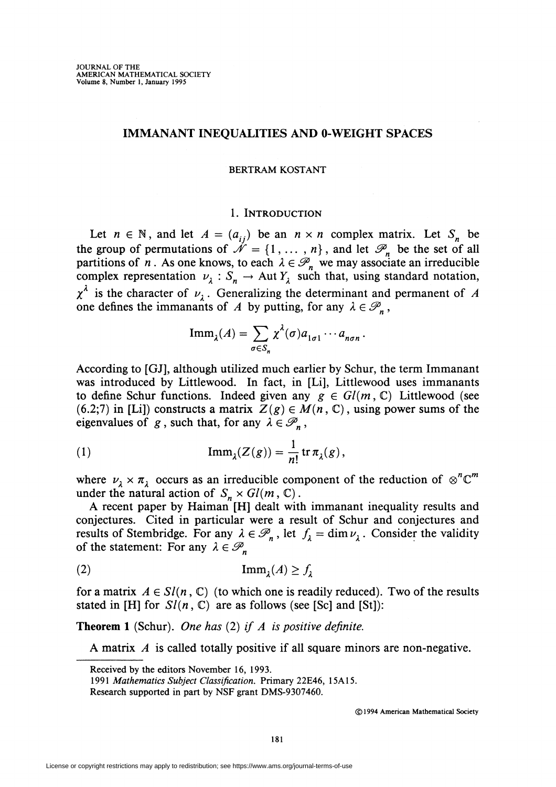### IMMANANT INEQUALITIES AND O-WEIGHT SPACES

#### BERTRAM KOSTANT

#### 1. INTRODUCTION

Let  $n \in \mathbb{N}$ , and let  $A = (a_{ij})$  be an  $n \times n$  complex matrix. Let  $S_n$  be the group of permutations of  $\mathcal{N} = \{1, ..., n\}$ , and let  $\mathcal{P}_n$  be the set of all partitions of *n*. As one knows, to each  $\lambda \in \mathcal{P}_n$  we may associate an irreducible complex representation  $v_{\lambda} : S_n \to \text{Aut } Y_{\lambda}$  such that, using standard notation,  $\chi^{\lambda}$  is the character of  $\nu_{\lambda}$ . Generalizing the determinant and permanent of *A* one defines the immanants of *A* by putting, for any  $\lambda \in \mathcal{P}_n$ ,

$$
\text{Imm}_{\lambda}(A) = \sum_{\sigma \in S_n} \chi^{\lambda}(\sigma) a_{1\sigma 1} \cdots a_{n\sigma n}.
$$

According to [GJ), although utilized much earlier by Schur, the term Immanant was introduced by Littlewood. In fact, in [Li), Littlewood uses immanants to define Schur functions. Indeed given any  $g \in Gl(m, \mathbb{C})$  Littlewood (see (6.2;7) in [Li]) constructs a matrix  $Z(g) \in M(n, \mathbb{C})$ , using power sums of the eigenvalues of *g*, such that, for any  $\lambda \in \mathcal{P}_n$ ,

(1) 
$$
\operatorname{Imm}_\lambda(Z(g)) = \frac{1}{n!} \operatorname{tr} \pi_\lambda(g),
$$

where  $\nu_{\lambda} \times \pi_{\lambda}$  occurs as an irreducible component of the reduction of  $\otimes^{n} \mathbb{C}^{m}$ under the natural action of  $S_n \times Gl(m, \mathbb{C})$ .

A recent paper by Haiman [H] dealt with immanant inequality results and conjectures. Cited in particular were a result of Schur and conjectures and results of Stembridge. For any  $\lambda \in \mathcal{P}_n$ , let  $f_\lambda = \dim \nu_\lambda$ . Consider the validity of the statement: For any  $\lambda \in \mathcal{P}_n$ 

(2) ImmA. *(A)* ~ f;.

for a matrix  $A \in Sl(n, \mathbb{C})$  (to which one is readily reduced). Two of the results stated in [H] for  $Sl(n, \mathbb{C})$  are as follows (see [Sc] and [St]):

Theorem 1 (Schur). *One has* (2) *if A is positive definite.* 

A matrix *A* is called totally positive if all square minors are non-negative.

Received by the editors November 16, 1993.

*<sup>1991</sup> Mathematics Subject Classification.* Primary 22E46, 15A15.

Research supported in part by NSF grant DMS-9307460.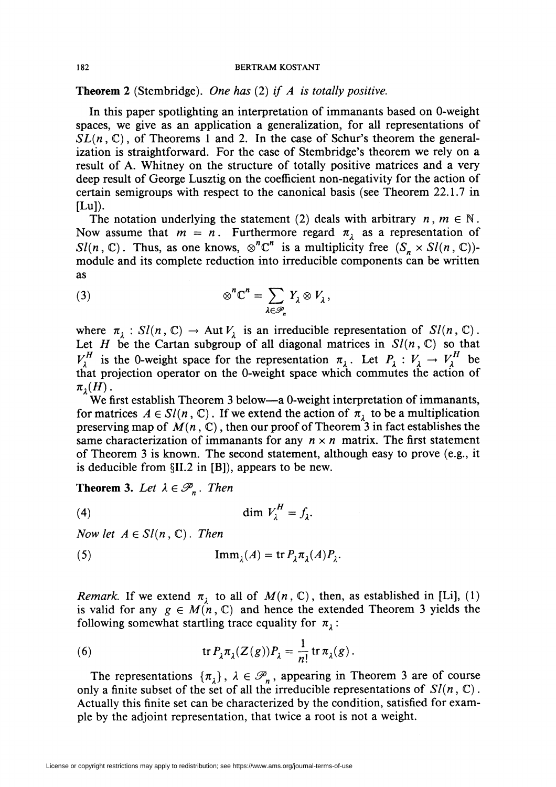**Theorem** 2 (Stembridge). *One has* (2) *if A is totally positive.* 

In this paper spotlighting an interpretation of immanants based on O-weight spaces, we give as an application a generalization, for all representations of  $SL(n, \mathbb{C})$ , of Theorems 1 and 2. In the case of Schur's theorem the generalization is straightforward. For the case of Stembridge's theorem we rely on a result of A. Whitney on the structure of totally positive matrices and a very deep result of George Lusztig on the coefficient non-negativity for the action of certain semigroups with respect to the canonical basis (see Theorem 22.1.7 in  $[Lu]$ .

The notation underlying the statement (2) deals with arbitrary  $n, m \in \mathbb{N}$ . Now assume that  $m = n$ . Furthermore regard  $\pi_{\lambda}$  as a representation of *Sl(n, C).* Thus, as one knows,  $\otimes^n \mathbb{C}^n$  is a multiplicity free  $(S_n \times Sl(n, \mathbb{C}))$ module and its complete reduction into irreducible components can be written as

(3) 
$$
\otimes^n \mathbb{C}^n = \sum_{\lambda \in \mathscr{P}_n} Y_{\lambda} \otimes V_{\lambda},
$$

where  $\pi_{\lambda}: Sl(n, \mathbb{C}) \to Aut V_{\lambda}$  is an irreducible representation of  $Sl(n, \mathbb{C})$ . Let *H* be the Cartan subgroup of all diagonal matrices in  $Sl(n, \mathbb{C})$  so that  $V_{\lambda}^{H}$  is the 0-weight space for the representation  $\pi_{\lambda}$ . Let  $P_{\lambda}: V_{\lambda} \to V_{\lambda}^{H}$  be that projection operator on the O-weight space which commutes the action of  $\pi_1(H)$ .

We first establish Theorem 3 below—a 0-weight interpretation of immanants, for matrices  $A \in Sl(n, \mathbb{C})$ . If we extend the action of  $\pi_{\lambda}$  to be a multiplication preserving map of  $M(n, \mathbb{C})$ , then our proof of Theorem<sup>3</sup> in fact establishes the same characterization of immanants for any  $n \times n$  matrix. The first statement of Theorem 3 is known. The second statement, although easy to prove (e.g., it is deducible from §II.2 in [B]), appears to be new.

**Theorem 3.** Let  $\lambda \in \mathcal{P}_n$ . Then

(4)

*Now let*  $A \in Sl(n, \mathbb{C})$ . *Then* 

(5) 
$$
\operatorname{Imm}_\lambda(A) = \operatorname{tr} P_\lambda \pi_\lambda(A) P_\lambda.
$$

*Remark.* If we extend  $\pi_{\lambda}$  to all of  $M(n, \mathbb{C})$ , then, as established in [Li], (1) is valid for any  $g \in M(n, \mathbb{C})$  and hence the extended Theorem 3 yields the following somewhat startling trace equality for  $\pi_{\lambda}$ :

(6) 
$$
\operatorname{tr} P_{\lambda} \pi_{\lambda}(Z(g)) P_{\lambda} = \frac{1}{n!} \operatorname{tr} \pi_{\lambda}(g).
$$

The representations  $\{\pi_{\lambda}\}, \lambda \in \mathcal{P}_n$ , appearing in Theorem 3 are of course only a finite subset of the set of all the irreducible representations of  $Sl(n, \mathbb{C})$ . Actually this finite set can be characterized by the condition, satisfied for example by the adjoint representation, that twice a root is not a weight.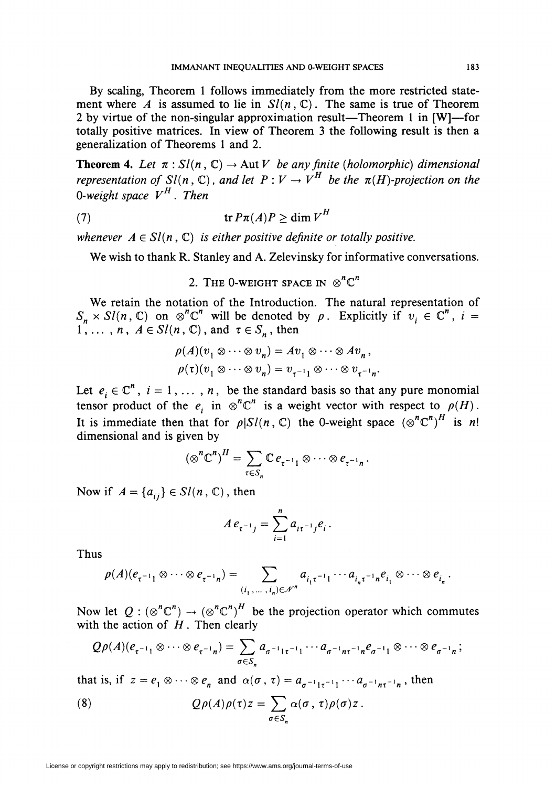By scaling, Theorem 1 follows immediately from the more restricted statement where *A* is assumed to lie in  $Sl(n, \mathbb{C})$ . The same is true of Theorem 2 by virtue of the non-singular approximation result-Theorem 1 in [W]-for totally positive matrices. In view of Theorem 3 the following result is then a generalization of Theorems 1 and 2.

**Theorem 4.** Let  $\pi : Sl(n, \mathbb{C}) \to Aut V$  be any finite (holomorphic) dimensional *representation of Sl(n, C), and let*  $P: V \to V^H$  *be the*  $\pi(H)$ *-projection on the O-weight space*  $V^H$ . Then

$$
(7) \t\t\t tr P\pi(A)P \geq \dim V^H
$$

*whenever*  $A \in Sl(n, \mathbb{C})$  *is either positive definite or totally positive.* 

We wish to thank R. Stanley and A. Zelevinsky for informative conversations.

2. THE 0-WEIGHT SPACE IN  $\otimes^n \mathbb{C}^n$ 

We retain the notation of the Introduction. The natural representation of  $S_n \times Sl(n, \mathbb{C})$  on  $\otimes^n \mathbb{C}^n$  will be denoted by  $\rho$ . Explicitly if  $v_i \in \mathbb{C}^n$ ,  $i =$  $1$ ,  $\ldots$ ,  $n, A \in Sl(n, \mathbb{C})$ , and  $\tau \in S_n$ , then

$$
\rho(A)(v_1 \otimes \cdots \otimes v_n) = Av_1 \otimes \cdots \otimes Av_n,
$$
  

$$
\rho(\tau)(v_1 \otimes \cdots \otimes v_n) = v_{\tau^{-1}1} \otimes \cdots \otimes v_{\tau^{-1}n}.
$$

Let  $e_i \in \mathbb{C}^n$ ,  $i = 1, ..., n$ , be the standard basis so that any pure monomial tensor product of the *ei* n  $\otimes^n \mathbb{C}^n$  is a weight vector with respect to  $\rho(H)$ . It is immediate then that for  $\rho |S l(n, \mathbb{C})$  the 0-weight space  $(\otimes^n \mathbb{C}^n)^H$  is *n!* dimensional and is given by

$$
(\otimes^n \mathbb{C}^n)^H = \sum_{\tau \in S_n} \mathbb{C} e_{\tau^{-1}1} \otimes \cdots \otimes e_{\tau^{-1}n}.
$$

Now if  $A = \{a_{ij}\}\in Sl(n, \mathbb{C})$ , then

$$
A e_{\tau^{-1} j} = \sum_{i=1}^{n} a_{i\tau^{-1} j} e_i.
$$

Thus

$$
\rho(A)(e_{\tau^{-1}1}\otimes\cdots\otimes e_{\tau^{-1}n})=\sum_{(i_1,\ldots,i_n)\in\mathscr{N}^n}a_{i_1\tau^{-1}1}\cdots a_{i_n\tau^{-1}n}e_{i_1}\otimes\cdots\otimes e_{i_n}.
$$

Now let  $Q : (\otimes^n \mathbb{C}^n) \to (\otimes^n \mathbb{C}^n)^H$  be the projection operator which commutes with the action of *H*. Then clearly

$$
Q\rho(A)(e_{\tau^{-1}1}\otimes\cdots\otimes e_{\tau^{-1}n})=\sum_{\sigma\in S_n}a_{\sigma^{-1}1\tau^{-1}1}\cdots a_{\sigma^{-1}n\tau^{-1}n}e_{\sigma^{-1}1}\otimes\cdots\otimes e_{\sigma^{-1}n};
$$

that is, if  $z = e_1 \otimes \cdots \otimes e_n$  and  $\alpha(\sigma, \tau) = a_{\sigma^{-1} + \tau^{-1}} \cdots a_{\sigma^{-1} + \tau^{-1}n}$ , then

(8) 
$$
Q\rho(A)\rho(\tau)z = \sum_{\sigma \in S_n} \alpha(\sigma, \tau)\rho(\sigma)z.
$$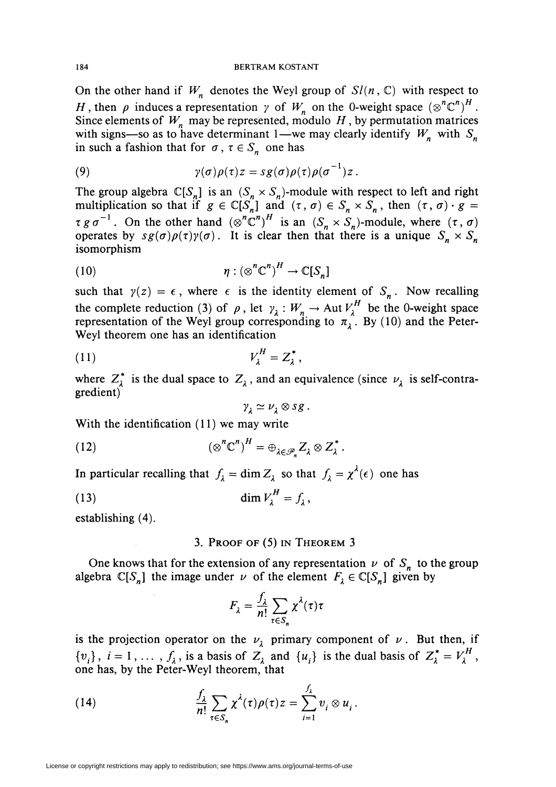On the other hand if  $W_n$  denotes the Weyl group of  $Sl(n, \mathbb{C})$  with respect to *H*, then  $\rho$  induces a representation  $\gamma$  of  $W_n$  on the 0-weight space  $(\otimes^n \mathbb{C}^n)^H$ . Since elements of  $W_n$  may be represented, modulo  $H$ , by permutation matrices with signs-so as to have determinant 1-we may clearly identify  $W_n$  with  $S_n$ in such a fashion that for  $\sigma$ ,  $\tau \in S_n$  one has

(9) 
$$
\gamma(\sigma)\rho(\tau)z = sg(\sigma)\rho(\tau)\rho(\sigma^{-1})z.
$$

The group algebra  $\mathbb{C}[S_n]$  is an  $(S_n \times S_n)$ -module with respect to left and right multiplication so that if  $g \in \mathbb{C}[S_n]$  and  $(\tau, \sigma) \in S_n \times S_n$ , then  $(\tau, \sigma) \cdot g =$  $\tau g \sigma^{-1}$ . On the other hand  $(\otimes^n \mathbb{C}^n)^H$  is an  $(S_n \times S_n)$ -module, where  $(\tau, \sigma)$ operates by  $sg(\sigma)\rho(\tau)\gamma(\sigma)$ . It is clear then that there is a unique  $S_n \times S_n$ isomorphism

(10) 
$$
\eta: (\otimes^n \mathbb{C}^n)^H \to \mathbb{C}[S_n]
$$

such that  $y(z) = \epsilon$ , where  $\epsilon$  is the identity element of  $S_n$ . Now recalling the complete reduction (3) of  $\rho$ , let  $\gamma_i : W_n \to \text{Aut } V_i^H$  be the 0-weight space representation of the Weyl group corresponding to  $\pi_{\lambda}$ . By (10) and the Peter-Weyl theorem one has an identification

$$
V_{\lambda}^{H} = Z_{\lambda}^{*},
$$

where  $Z_{\lambda}^{*}$  is the dual space to  $Z_{\lambda}$ , and an equivalence (since  $\nu_{\lambda}$  is self-contragredient)

$$
\gamma_{\lambda} \simeq \nu_{\lambda} \otimes sg.
$$

With the identification (11) we may write

(12) 
$$
(\otimes^n \mathbb{C}^n)^H = \oplus_{\lambda \in \mathscr{P}_n} Z_\lambda \otimes Z_\lambda^*.
$$

In particular recalling that  $f_{\lambda} = \dim Z_{\lambda}$  so that  $f_{\lambda} = \chi^{\lambda}(\epsilon)$  one has

$$
\dim V_{\lambda}^{H} = f_{\lambda}
$$

establishing (4).

# 3. PROOF OF (5) IN THEOREM 3

One knows that for the extension of any representation  $\nu$  of  $S_n$  to the group algebra  $\mathbb{C}[S_n]$  the image under *v* of the element  $F_\lambda \in \mathbb{C}[S_n]$  given by

$$
F_{\lambda} = \frac{f_{\lambda}}{n!} \sum_{\tau \in S_n} \chi^{\lambda}(\tau) \tau
$$

is the projection operator on the  $\nu_{\lambda}$  primary component of  $\nu$ . But then, if  $\{v_i\}$ ,  $i = 1, \ldots, f_\lambda$ , is a basis of  $Z_\lambda$  and  $\{u_i\}$  is the dual basis of  $Z_\lambda^* = V_\lambda^H$ , one has, by the Peter-Weyl theorem, that

(14) 
$$
\frac{f_{\lambda}}{n!} \sum_{\tau \in S_n} \chi^{\lambda}(\tau) \rho(\tau) z = \sum_{i=1}^{J_{\lambda}} v_i \otimes u_i.
$$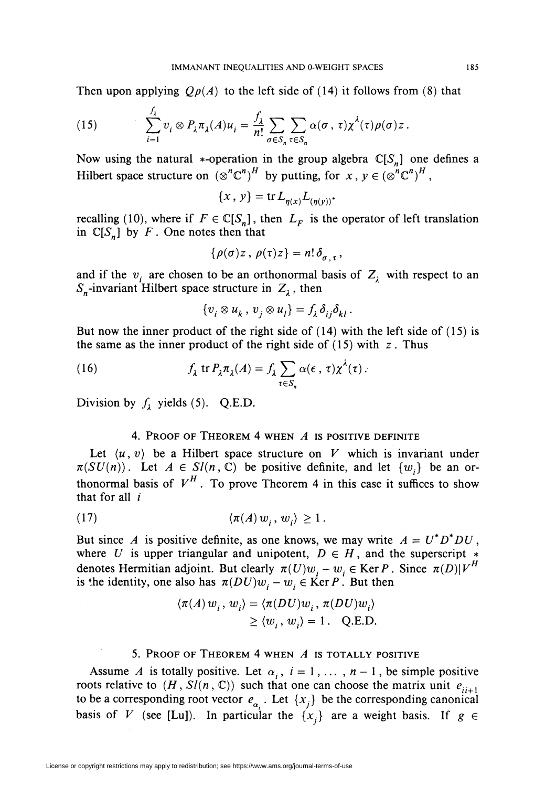Then upon applying  $Q\rho(A)$  to the left side of (14) it follows from (8) that

(15) 
$$
\sum_{i=1}^{f_{\lambda}} v_i \otimes P_{\lambda} \pi_{\lambda}(A) u_i = \frac{f_{\lambda}}{n!} \sum_{\sigma \in S_n} \sum_{\tau \in S_n} \alpha(\sigma, \tau) \chi^{\lambda}(\tau) \rho(\sigma) z.
$$

Now using the natural \*-operation in the group algebra  $\mathbb{C}[S_n]$  one defines a Hilbert space structure on  $(\otimes^n \mathbb{C}^n)^H$  by putting, for *x*,  $y \in (\otimes^n \mathbb{C}^n)^H$ ,

$$
\{x, y\} = \operatorname{tr} L_{\eta(x)} L_{(\eta(y))}.
$$

recalling (10), where if  $F \in \mathbb{C}[S_n]$ , then  $L_F$  is the operator of left translation in  $\mathbb{C}[S_n]$  by *F*. One notes then that

$$
\{\rho(\sigma)z\, ,\, \rho(\tau)z\} = n!\,\delta_{\sigma,\tau}\,,
$$

and if the  $v_i$  are chosen to be an orthonormal basis of  $Z_i$  with respect to an  $S_n$ -invariant Hilbert space structure in  $Z_\lambda$ , then

$$
\{v_i\otimes u_k\,,\,v_j\otimes u_l\}=f_\lambda\,\delta_{ij}\delta_{kl}\,.
$$

But now the inner product of the right side of (14) with the left side of (15) is the same as the inner product of the right side of (15) with *z.* Thus

(16) 
$$
f_{\lambda} \text{ tr } P_{\lambda} \pi_{\lambda}(A) = f_{\lambda} \sum_{\tau \in S_n} \alpha(\epsilon, \tau) \chi^{\lambda}(\tau).
$$

Division by  $f_1$  yields (5). Q.E.D.

# 4. PROOF OF THEOREM 4 WHEN *A* IS POSITIVE DEFINITE

Let  $\langle u, v \rangle$  be a Hilbert space structure on *V* which is invariant under  $\pi(SU(n))$ . Let  $A \in Sl(n, \mathbb{C})$  be positive definite, and let  $\{w_i\}$  be an orthonormal basis of  $V^H$ . To prove Theorem 4 in this case it suffices to show that for all  $i$ 

$$
(17) \qquad \qquad \langle \pi(A) \, w_i, \, w_j \rangle \ge 1 \, .
$$

But since *A* is positive definite, as one knows, we may write  $A = U^* D^* D U$ , where *U* is upper triangular and unipotent,  $D \in H$ , and the superscript  $*$ denotes Hermitian adjoint. But clearly  $\pi(U)w_i - w_i \in \text{Ker } P$ . Since  $\pi(D)|V^H$ is the identity, one also has  $\pi(DU)w_i - w_i \in \text{Ker } P$ . But then

$$
\langle \pi(A) w_i, w_i \rangle = \langle \pi(DU) w_i, \pi(DU) w_i \rangle
$$
  

$$
\ge \langle w_i, w_i \rangle = 1. \quad \text{Q.E.D.}
$$

## 5. PROOF OF THEOREM 4 WHEN *A* IS TOTALLY POSITIVE

Assume *A* is totally positive. Let  $\alpha_i$ ,  $i = 1, ..., n - 1$ , be simple positive roots relative to  $(H, Sl(n, \mathbb{C}))$  such that one can choose the matrix unit  $e_{ii+1}$ to be a corresponding root vector  $e_{\alpha_i}$ . Let  $\{x_j\}$  be the corresponding canonical basis of *V* (see [Lu]). In particular the  $\{x_i\}$  are a weight basis. If  $g \in$